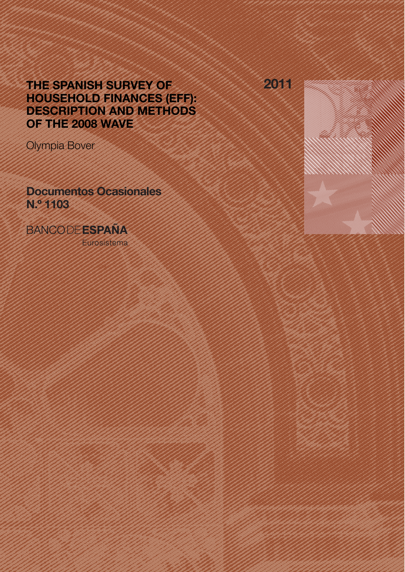# THE SPANISH SURVEY OF HOUSEHOLD FINANCES (EFF): DESCRIPTION AND METHODS OF THE 2008 WAVE

Olympia Bover

Documentos Ocasionales N.º 1103

**BANCODEESPAÑA** 

Eurosistema

2011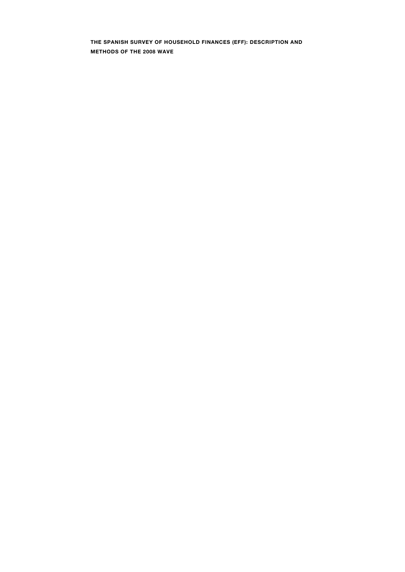**THE SPANISH SURVEY OF HOUSEHOLD FINANCES (EFF): DESCRIPTION AND METHODS OF THE 2008 WAVE**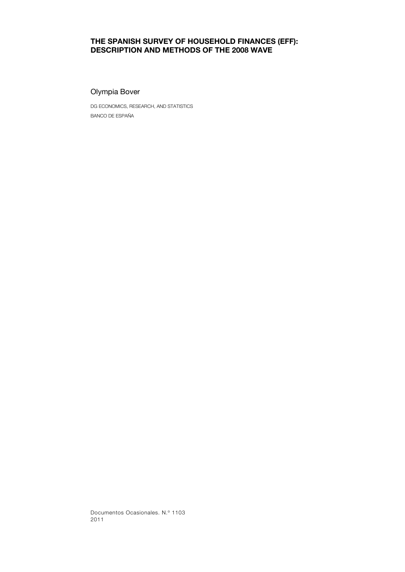# **THE SPANISH SURVEY OF HOUSEHOLD FINANCES (EFF): DESCRIPTION AND METHODS OF THE 2008 WAVE**

### Olympia Bover

DG ECONOMICS, RESEARCH, AND STATISTICS BANCO DE ESPAÑA

Documentos Ocasionales. N.º 1103 2011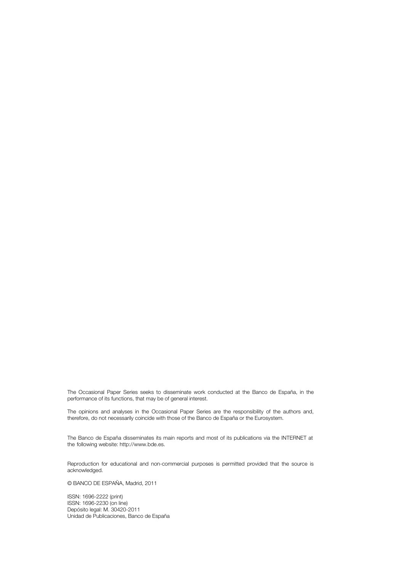The Occasional Paper Series seeks to disseminate work conducted at the Banco de España, in the performance of its functions, that may be of general interest.

The opinions and analyses in the Occasional Paper Series are the responsibility of the authors and, therefore, do not necessarily coincide with those of the Banco de España or the Eurosystem.

The Banco de España disseminates its main reports and most of its publications via the INTERNET at the following website: http://www.bde.es.

Reproduction for educational and non-commercial purposes is permitted provided that the source is acknowledged.

© BANCO DE ESPAÑA, Madrid, 2011

ISSN: 1696-2222 (print) ISSN: 1696-2230 (on line) Depósito legal: M. 30420-2011 Unidad de Publicaciones, Banco de España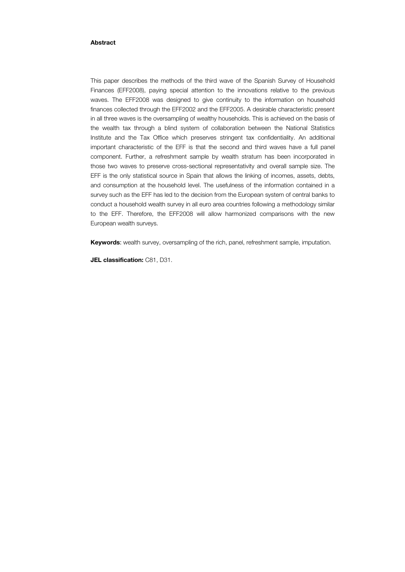#### **Abstract**

This paper describes the methods of the third wave of the Spanish Survey of Household Finances (EFF2008), paying special attention to the innovations relative to the previous waves. The EFF2008 was designed to give continuity to the information on household finances collected through the EFF2002 and the EFF2005. A desirable characteristic present in all three waves is the oversampling of wealthy households. This is achieved on the basis of the wealth tax through a blind system of collaboration between the National Statistics Institute and the Tax Office which preserves stringent tax confidentiality. An additional important characteristic of the EFF is that the second and third waves have a full panel component. Further, a refreshment sample by wealth stratum has been incorporated in those two waves to preserve cross-sectional representativity and overall sample size. The EFF is the only statistical source in Spain that allows the linking of incomes, assets, debts, and consumption at the household level. The usefulness of the information contained in a survey such as the EFF has led to the decision from the European system of central banks to conduct a household wealth survey in all euro area countries following a methodology similar to the EFF. Therefore, the EFF2008 will allow harmonized comparisons with the new European wealth surveys.

**Keywords**: wealth survey, oversampling of the rich, panel, refreshment sample, imputation.

**JEL classification:** C81, D31.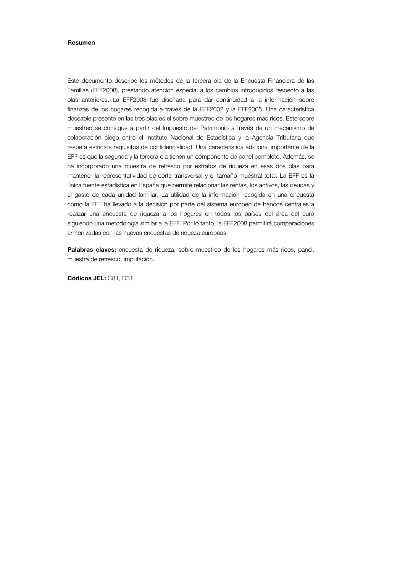#### **Resumen**

Este documento describe los métodos de la tercera ola de la Encuesta Financiera de las Familias (EFF2008), prestando atención especial a los cambios introducidos respecto a las olas anteriores. La EFF2008 fue diseñada para dar continuidad a la información sobre finanzas de los hogares recogida a través de la EFF2002 y la EFF2005. Una característica deseable presente en las tres olas es el sobre muestreo de los hogares más ricos. Este sobre muestreo se consigue a partir del Impuesto del Patrimonio a través de un mecanismo de colaboración ciego entre el Instituto Nacional de Estadística y la Agencia Tributaria que respeta estrictos requisitos de confidencialidad. Una característica adicional importante de la EFF es que la segunda y la tercera ola tienen un componente de panel completo. Además, se ha incorporado una muestra de refresco por estratos de riqueza en esas dos olas para mantener la representatividad de corte transversal y el tamaño muestral total. La EFF es la única fuente estadística en España que permite relacionar las rentas, los activos, las deudas y el gasto de cada unidad familiar. La utilidad de la información recogida en una encuesta como la EFF ha llevado a la decisión por parte del sistema europeo de bancos centrales a realizar una encuesta de riqueza a los hogares en todos los países del área del euro siguiendo una metodología similar a la EFF. Por lo tanto, la EFF2008 permitirá comparaciones armonizadas con las nuevas encuestas de riqueza europeas.

Palabras claves: encuesta de riqueza, sobre muestreo de los hogares más ricos, panel, muestra de refresco, imputación.

**Códicos JEL:** C81, D31.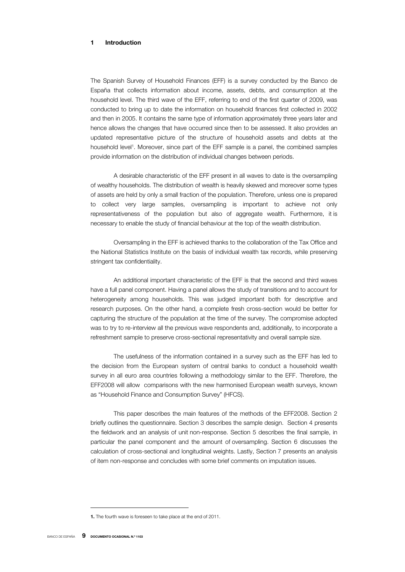### **1 Introduction**

The Spanish Survey of Household Finances (EFF) is a survey conducted by the Banco de España that collects information about income, assets, debts, and consumption at the household level. The third wave of the EFF, referring to end of the first quarter of 2009, was conducted to bring up to date the information on household finances first collected in 2002 and then in 2005. It contains the same type of information approximately three years later and hence allows the changes that have occurred since then to be assessed. It also provides an updated representative picture of the structure of household assets and debts at the household level<sup>1</sup>. Moreover, since part of the EFF sample is a panel, the combined samples provide information on the distribution of individual changes between periods.

A desirable characteristic of the EFF present in all waves to date is the oversampling of wealthy households. The distribution of wealth is heavily skewed and moreover some types of assets are held by only a small fraction of the population. Therefore, unless one is prepared to collect very large samples, oversampling is important to achieve not only representativeness of the population but also of aggregate wealth. Furthermore, it is necessary to enable the study of financial behaviour at the top of the wealth distribution.

Oversampling in the EFF is achieved thanks to the collaboration of the Tax Office and the National Statistics Institute on the basis of individual wealth tax records, while preserving stringent tax confidentiality.

An additional important characteristic of the EFF is that the second and third waves have a full panel component. Having a panel allows the study of transitions and to account for heterogeneity among households. This was judged important both for descriptive and research purposes. On the other hand, a complete fresh cross-section would be better for capturing the structure of the population at the time of the survey. The compromise adopted was to try to re-interview all the previous wave respondents and, additionally, to incorporate a refreshment sample to preserve cross-sectional representativity and overall sample size.

The usefulness of the information contained in a survey such as the EFF has led to the decision from the European system of central banks to conduct a household wealth survey in all euro area countries following a methodology similar to the EFF. Therefore, the EFF2008 will allow comparisons with the new harmonised European wealth surveys, known as "Household Finance and Consumption Survey" (HFCS).

This paper describes the main features of the methods of the EFF2008. Section 2 briefly outlines the questionnaire. Section 3 describes the sample design. Section 4 presents the fieldwork and an analysis of unit non-response. Section 5 describes the final sample, in particular the panel component and the amount of oversampling. Section 6 discusses the calculation of cross-sectional and longitudinal weights. Lastly, Section 7 presents an analysis of item non-response and concludes with some brief comments on imputation issues.

**<sup>1</sup>.** The fourth wave is foreseen to take place at the end of 2011.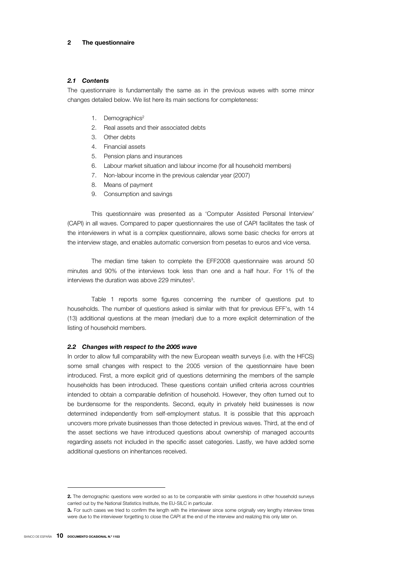#### *2.1 Contents*

The questionnaire is fundamentally the same as in the previous waves with some minor changes detailed below. We list here its main sections for completeness:

- 1. Demographics<sup>2</sup>
- 2. Real assets and their associated debts
- 3. Other debts
- 4. Financial assets
- 5. Pension plans and insurances
- 6. Labour market situation and labour income (for all household members)
- 7. Non-labour income in the previous calendar year (2007)
- 8. Means of payment
- 9. Consumption and savings

This questionnaire was presented as a 'Computer Assisted Personal Interview' (CAPI) in all waves. Compared to paper questionnaires the use of CAPI facilitates the task of the interviewers in what is a complex questionnaire, allows some basic checks for errors at the interview stage, and enables automatic conversion from pesetas to euros and vice versa.

The median time taken to complete the EFF2008 questionnaire was around 50 minutes and 90% of the interviews took less than one and a half hour. For 1% of the interviews the duration was above 229 minutes<sup>3</sup>.

Table 1 reports some figures concerning the number of questions put to households. The number of questions asked is similar with that for previous EFF's, with 14 (13) additional questions at the mean (median) due to a more explicit determination of the listing of household members.

#### *2.2 Changes with respect to the 2005 wave*

In order to allow full comparability with the new European wealth surveys (i.e. with the HFCS) some small changes with respect to the 2005 version of the questionnaire have been introduced. First, a more explicit grid of questions determining the members of the sample households has been introduced. These questions contain unified criteria across countries intended to obtain a comparable definition of household. However, they often turned out to be burdensome for the respondents. Second, equity in privately held businesses is now determined independently from self-employment status. It is possible that this approach uncovers more private businesses than those detected in previous waves. Third, at the end of the asset sections we have introduced questions about ownership of managed accounts regarding assets not included in the specific asset categories. Lastly, we have added some additional questions on inheritances received.

**<sup>2</sup>.** The demographic questions were worded so as to be comparable with similar questions in other household surveys carried out by the National Statistics Institute, the EU-SILC in particular.

**<sup>3</sup>.** For such cases we tried to confirm the length with the interviewer since some originally very lengthy interview times were due to the interviewer forgetting to close the CAPI at the end of the interview and realizing this only later on.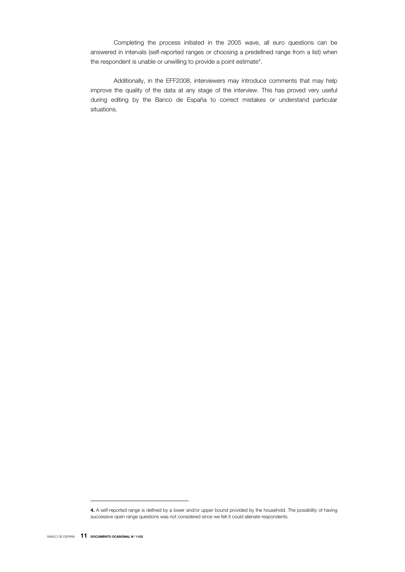Completing the process initiated in the 2005 wave, all euro questions can be answered in intervals (self-reported ranges or choosing a predefined range from a list) when the respondent is unable or unwilling to provide a point estimate<sup>4</sup>.

Additionally, in the EFF2008, interviewers may introduce comments that may help improve the quality of the data at any stage of the interview. This has proved very useful during editing by the Banco de España to correct mistakes or understand particular situations.

**<sup>4</sup>.** A self-reported range is defined by a lower and/or upper bound provided by the household. The possibility of having successive open range questions was not considered since we felt it could alienate respondents.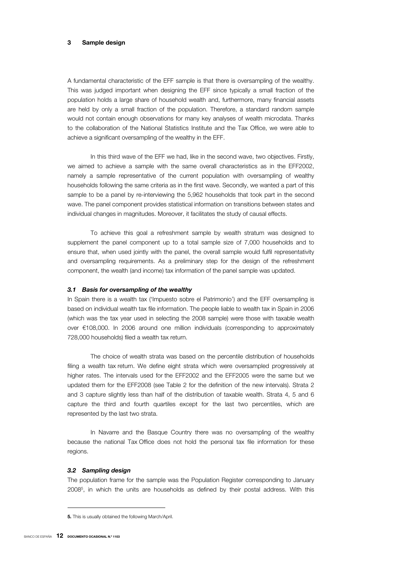#### **3 Sample design**

A fundamental characteristic of the EFF sample is that there is oversampling of the wealthy. This was judged important when designing the EFF since typically a small fraction of the population holds a large share of household wealth and, furthermore, many financial assets are held by only a small fraction of the population. Therefore, a standard random sample would not contain enough observations for many key analyses of wealth microdata. Thanks to the collaboration of the National Statistics Institute and the Tax Office, we were able to achieve a significant oversampling of the wealthy in the EFF.

In this third wave of the EFF we had, like in the second wave, two objectives. Firstly, we aimed to achieve a sample with the same overall characteristics as in the EFF2002, namely a sample representative of the current population with oversampling of wealthy households following the same criteria as in the first wave. Secondly, we wanted a part of this sample to be a panel by re-interviewing the 5,962 households that took part in the second wave. The panel component provides statistical information on transitions between states and individual changes in magnitudes. Moreover, it facilitates the study of causal effects.

To achieve this goal a refreshment sample by wealth stratum was designed to supplement the panel component up to a total sample size of 7,000 households and to ensure that, when used jointly with the panel, the overall sample would fulfil representativity and oversampling requirements. As a preliminary step for the design of the refreshment component, the wealth (and income) tax information of the panel sample was updated.

#### *3.1 Basis for oversampling of the wealthy*

In Spain there is a wealth tax ('Impuesto sobre el Patrimonio') and the EFF oversampling is based on individual wealth tax file information. The people liable to wealth tax in Spain in 2006 (which was the tax year used in selecting the 2008 sample) were those with taxable wealth over €108,000. In 2006 around one million individuals (corresponding to approximately 728,000 households) filed a wealth tax return.

The choice of wealth strata was based on the percentile distribution of households filing a wealth tax return. We define eight strata which were oversampled progressively at higher rates. The intervals used for the EFF2002 and the EFF2005 were the same but we updated them for the EFF2008 (see Table 2 for the definition of the new intervals). Strata 2 and 3 capture slightly less than half of the distribution of taxable wealth. Strata 4, 5 and 6 capture the third and fourth quartiles except for the last two percentiles, which are represented by the last two strata.

In Navarre and the Basque Country there was no oversampling of the wealthy because the national Tax Office does not hold the personal tax file information for these regions.

#### *3.2 Sampling design*

The population frame for the sample was the Population Register corresponding to January 20085, in which the units are households as defined by their postal address. With this

**<sup>5</sup>.** This is usually obtained the following March/April.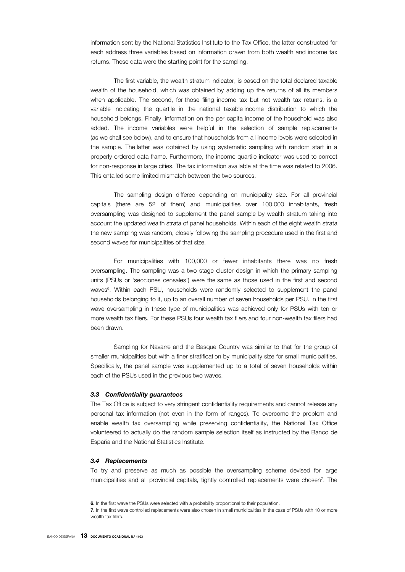information sent by the National Statistics Institute to the Tax Office, the latter constructed for each address three variables based on information drawn from both wealth and income tax returns. These data were the starting point for the sampling.

The first variable, the wealth stratum indicator, is based on the total declared taxable wealth of the household, which was obtained by adding up the returns of all its members when applicable. The second, for those filing income tax but not wealth tax returns, is a variable indicating the quartile in the national taxable income distribution to which the household belongs. Finally, information on the per capita income of the household was also added. The income variables were helpful in the selection of sample replacements (as we shall see below), and to ensure that households from all income levels were selected in the sample. The latter was obtained by using systematic sampling with random start in a properly ordered data frame. Furthermore, the income quartile indicator was used to correct for non-response in large cities. The tax information available at the time was related to 2006. This entailed some limited mismatch between the two sources.

The sampling design differed depending on municipality size. For all provincial capitals (there are 52 of them) and municipalities over 100,000 inhabitants, fresh oversampling was designed to supplement the panel sample by wealth stratum taking into account the updated wealth strata of panel households. Within each of the eight wealth strata the new sampling was random, closely following the sampling procedure used in the first and second waves for municipalities of that size.

For municipalities with 100,000 or fewer inhabitants there was no fresh oversampling. The sampling was a two stage cluster design in which the primary sampling units (PSUs or 'secciones censales') were the same as those used in the first and second waves<sup>6</sup>. Within each PSU, households were randomly selected to supplement the panel households belonging to it, up to an overall number of seven households per PSU. In the first wave oversampling in these type of municipalities was achieved only for PSUs with ten or more wealth tax filers. For these PSUs four wealth tax filers and four non-wealth tax filers had been drawn.

Sampling for Navarre and the Basque Country was similar to that for the group of smaller municipalities but with a finer stratification by municipality size for small municipalities. Specifically, the panel sample was supplemented up to a total of seven households within each of the PSUs used in the previous two waves.

#### *3.3 Confidentiality guarantees*

The Tax Office is subject to very stringent confidentiality requirements and cannot release any personal tax information (not even in the form of ranges). To overcome the problem and enable wealth tax oversampling while preserving confidentiality, the National Tax Office volunteered to actually do the random sample selection itself as instructed by the Banco de España and the National Statistics Institute.

#### *3.4 Replacements*

To try and preserve as much as possible the oversampling scheme devised for large municipalities and all provincial capitals, tightly controlled replacements were chosen<sup>7</sup>. The

 $\overline{a}$ 

**<sup>6.</sup>** In the first wave the PSUs were selected with a probability proportional to their population.

**<sup>7</sup>.** In the first wave controlled replacements were also chosen in small municipalities in the case of PSUs with 10 or more wealth tax filers.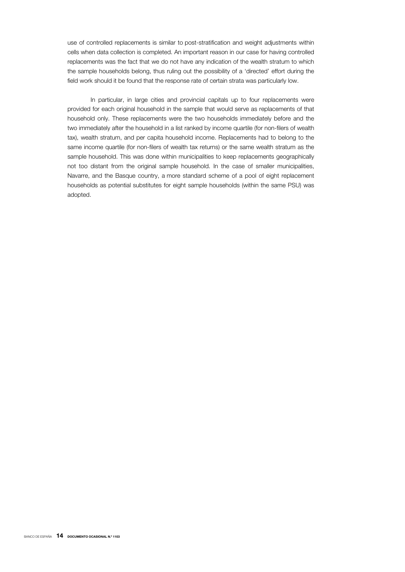use of controlled replacements is similar to post-stratification and weight adjustments within cells when data collection is completed. An important reason in our case for having controlled replacements was the fact that we do not have any indication of the wealth stratum to which the sample households belong, thus ruling out the possibility of a 'directed' effort during the field work should it be found that the response rate of certain strata was particularly low.

In particular, in large cities and provincial capitals up to four replacements were provided for each original household in the sample that would serve as replacements of that household only. These replacements were the two households immediately before and the two immediately after the household in a list ranked by income quartile (for non-filers of wealth tax), wealth stratum, and per capita household income. Replacements had to belong to the same income quartile (for non-filers of wealth tax returns) or the same wealth stratum as the sample household. This was done within municipalities to keep replacements geographically not too distant from the original sample household. In the case of smaller municipalities, Navarre, and the Basque country, a more standard scheme of a pool of eight replacement households as potential substitutes for eight sample households (within the same PSU) was adopted.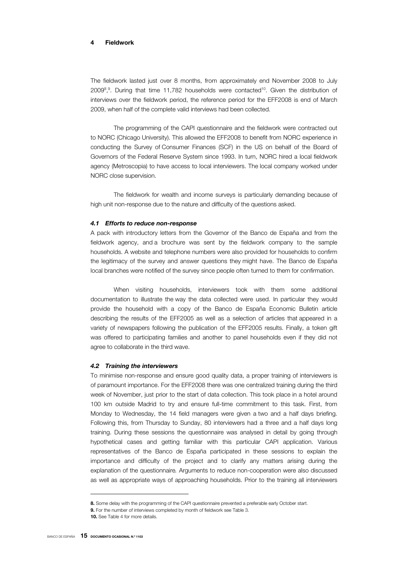#### **4 Fieldwork**

The fieldwork lasted just over 8 months, from approximately end November 2008 to July 2009<sup>8</sup>,<sup>9</sup>. During that time 11,782 households were contacted<sup>10</sup>. Given the distribution of interviews over the fieldwork period, the reference period for the EFF2008 is end of March 2009, when half of the complete valid interviews had been collected.

The programming of the CAPI questionnaire and the fieldwork were contracted out to NORC (Chicago University). This allowed the EFF2008 to benefit from NORC experience in conducting the Survey of Consumer Finances (SCF) in the US on behalf of the Board of Governors of the Federal Reserve System since 1993. In turn, NORC hired a local fieldwork agency (Metroscopia) to have access to local interviewers. The local company worked under NORC close supervision.

The fieldwork for wealth and income surveys is particularly demanding because of high unit non-response due to the nature and difficulty of the questions asked.

#### *4.1 Efforts to reduce non-response*

A pack with introductory letters from the Governor of the Banco de España and from the fieldwork agency, and a brochure was sent by the fieldwork company to the sample households. A website and telephone numbers were also provided for households to confirm the legitimacy of the survey and answer questions they might have. The Banco de España local branches were notified of the survey since people often turned to them for confirmation.

When visiting households, interviewers took with them some additional documentation to illustrate the way the data collected were used. In particular they would provide the household with a copy of the Banco de España Economic Bulletin article describing the results of the EFF2005 as well as a selection of articles that appeared in a variety of newspapers following the publication of the EFF2005 results. Finally, a token gift was offered to participating families and another to panel households even if they did not agree to collaborate in the third wave.

#### *4.2 Training the interviewers*

To minimise non-response and ensure good quality data, a proper training of interviewers is of paramount importance. For the EFF2008 there was one centralized training during the third week of November, just prior to the start of data collection. This took place in a hotel around 100 km outside Madrid to try and ensure full-time commitment to this task. First, from Monday to Wednesday, the 14 field managers were given a two and a half days briefing. Following this, from Thursday to Sunday, 80 interviewers had a three and a half days long training. During these sessions the questionnaire was analysed in detail by going through hypothetical cases and getting familiar with this particular CAPI application. Various representatives of the Banco de España participated in these sessions to explain the importance and difficulty of the project and to clarify any matters arising during the explanation of the questionnaire*.* Arguments to reduce non-cooperation were also discussed as well as appropriate ways of approaching households. Prior to the training all interviewers

 $\overline{a}$ 

**<sup>8</sup>.** Some delay with the programming of the CAPI questionnaire prevented a preferable early October start.

**<sup>9</sup>.** For the number of interviews completed by month of fieldwork see Table 3.

**<sup>10</sup>.** See Table 4 for more details.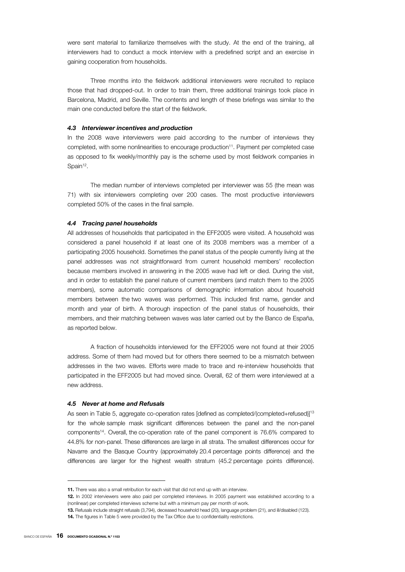were sent material to familiarize themselves with the study. At the end of the training, all interviewers had to conduct a mock interview with a predefined script and an exercise in gaining cooperation from households.

Three months into the fieldwork additional interviewers were recruited to replace those that had dropped-out. In order to train them, three additional trainings took place in Barcelona, Madrid, and Seville. The contents and length of these briefings was similar to the main one conducted before the start of the fieldwork.

#### *4.3 Interviewer incentives and production*

In the 2008 wave interviewers were paid according to the number of interviews they completed, with some nonlinearities to encourage production<sup>11</sup>. Payment per completed case as opposed to fix weekly/monthly pay is the scheme used by most fieldwork companies in Spain<sup>12</sup>.

The median number of interviews completed per interviewer was 55 (the mean was 71) with six interviewers completing over 200 cases. The most productive interviewers completed 50% of the cases in the final sample.

#### *4.4 Tracing panel households*

All addresses of households that participated in the EFF2005 were visited. A household was considered a panel household if at least one of its 2008 members was a member of a participating 2005 household. Sometimes the panel status of the people currently living at the panel addresses was not straightforward from current household members' recollection because members involved in answering in the 2005 wave had left or died. During the visit, and in order to establish the panel nature of current members (and match them to the 2005 members), some automatic comparisons of demographic information about household members between the two waves was performed. This included first name, gender and month and year of birth. A thorough inspection of the panel status of households, their members, and their matching between waves was later carried out by the Banco de España, as reported below.

A fraction of households interviewed for the EFF2005 were not found at their 2005 address. Some of them had moved but for others there seemed to be a mismatch between addresses in the two waves. Efforts were made to trace and re-interview households that participated in the EFF2005 but had moved since. Overall, 62 of them were interviewed at a new address.

#### *4.5 Never at home and Refusals*

As seen in Table 5, aggregate co-operation rates [defined as completed/(completed+refused)]<sup>13</sup> for the whole sample mask significant differences between the panel and the non-panel components14. Overall, the co-operation rate of the panel component is 76.6% compared to 44.8% for non-panel. These differences are large in all strata. The smallest differences occur for Navarre and the Basque Country (approximately 20.4 percentage points difference) and the differences are larger for the highest wealth stratum (45.2 percentage points difference).

**<sup>11</sup>.** There was also a small retribution for each visit that did not end up with an interview.

**<sup>12</sup>.** In 2002 interviewers were also paid per completed interviews. In 2005 payment was established according to a (nonlinear) per completed interviews scheme but with a minimum pay per month of work.

**<sup>13</sup>.** Refusals include straight refusals (3,794), deceased household head (20), language problem (21), and ill/disabled (123).

**<sup>14</sup>.** The figures in Table 5 were provided by the Tax Office due to confidentiality restrictions.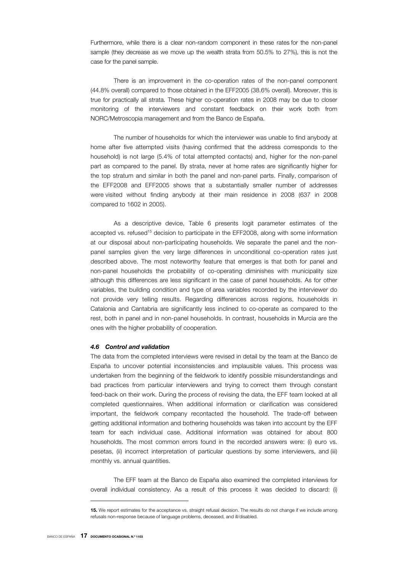Furthermore, while there is a clear non-random component in these rates for the non-panel sample (they decrease as we move up the wealth strata from 50.5% to 27%), this is not the case for the panel sample.

There is an improvement in the co-operation rates of the non-panel component (44.8% overall) compared to those obtained in the EFF2005 (38.6% overall). Moreover, this is true for practically all strata. These higher co-operation rates in 2008 may be due to closer monitoring of the interviewers and constant feedback on their work both from NORC/Metroscopia management and from the Banco de España.

The number of households for which the interviewer was unable to find anybody at home after five attempted visits (having confirmed that the address corresponds to the household) is not large (5.4% of total attempted contacts) and, higher for the non-panel part as compared to the panel. By strata, never at home rates are significantly higher for the top stratum and similar in both the panel and non-panel parts. Finally, comparison of the EFF2008 and EFF2005 shows that a substantially smaller number of addresses were visited without finding anybody at their main residence in 2008 (637 in 2008 compared to 1602 in 2005).

As a descriptive device, Table 6 presents logit parameter estimates of the accepted vs. refused<sup>15</sup> decision to participate in the EFF2008, along with some information at our disposal about non-participating households. We separate the panel and the nonpanel samples given the very large differences in unconditional co-operation rates just described above. The most noteworthy feature that emerges is that both for panel and non-panel households the probability of co-operating diminishes with municipality size although this differences are less significant in the case of panel households. As for other variables, the building condition and type of area variables recorded by the interviewer do not provide very telling results. Regarding differences across regions, households in Catalonia and Cantabria are significantly less inclined to co-operate as compared to the rest, both in panel and in non-panel households. In contrast, households in Murcia are the ones with the higher probability of cooperation.

#### *4.6 Control and validation*

The data from the completed interviews were revised in detail by the team at the Banco de España to uncover potential inconsistencies and implausible values. This process was undertaken from the beginning of the fieldwork to identify possible misunderstandings and bad practices from particular interviewers and trying to correct them through constant feed-back on their work. During the process of revising the data, the EFF team looked at all completed questionnaires. When additional information or clarification was considered important, the fieldwork company recontacted the household. The trade-off between getting additional information and bothering households was taken into account by the EFF team for each individual case. Additional information was obtained for about 800 households. The most common errors found in the recorded answers were: (i) euro vs. pesetas, (ii) incorrect interpretation of particular questions by some interviewers, and (iii) monthly vs. annual quantities.

The EFF team at the Banco de España also examined the completed interviews for overall individual consistency. As a result of this process it was decided to discard: (i)

**<sup>15</sup>.** We report estimates for the acceptance vs. straight refusal decision. The results do not change if we include among refusals non-response because of language problems, deceased, and ill/disabled.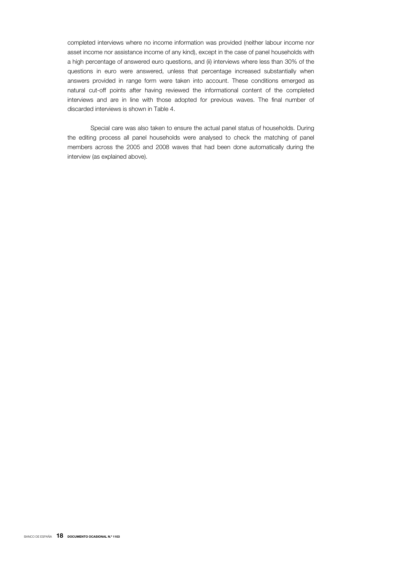completed interviews where no income information was provided (neither labour income nor asset income nor assistance income of any kind), except in the case of panel households with a high percentage of answered euro questions, and (ii) interviews where less than 30% of the questions in euro were answered, unless that percentage increased substantially when answers provided in range form were taken into account. These conditions emerged as natural cut-off points after having reviewed the informational content of the completed interviews and are in line with those adopted for previous waves. The final number of discarded interviews is shown in Table 4.

Special care was also taken to ensure the actual panel status of households. During the editing process all panel households were analysed to check the matching of panel members across the 2005 and 2008 waves that had been done automatically during the interview (as explained above).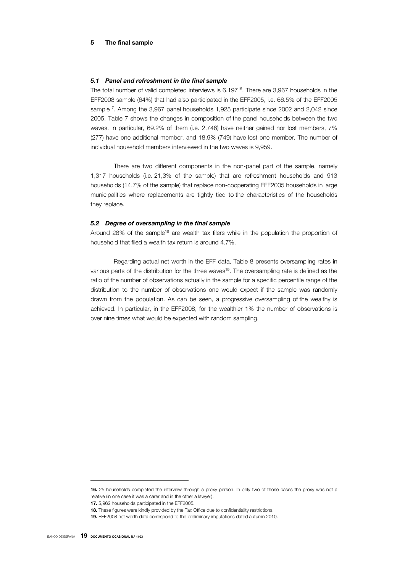#### **5 The final sample**

#### *5.1 Panel and refreshment in the final sample*

The total number of valid completed interviews is 6,19716. There are 3,967 households in the EFF2008 sample (64%) that had also participated in the EFF2005, i.e. 66.5% of the EFF2005 sample<sup>17</sup>. Among the 3,967 panel households 1,925 participate since 2002 and 2,042 since 2005. Table 7 shows the changes in composition of the panel households between the two waves. In particular, 69.2% of them (i.e. 2,746) have neither gained nor lost members, 7% (277) have one additional member, and 18.9% (749) have lost one member. The number of individual household members interviewed in the two waves is 9,959.

There are two different components in the non-panel part of the sample, namely 1,317 households (i.e. 21,3% of the sample) that are refreshment households and 913 households (14.7% of the sample) that replace non-cooperating EFF2005 households in large municipalities where replacements are tightly tied to the characteristics of the households they replace.

#### *5.2 Degree of oversampling in the final sample*

Around 28% of the sample<sup>18</sup> are wealth tax filers while in the population the proportion of household that filed a wealth tax return is around 4.7%.

Regarding actual net worth in the EFF data, Table 8 presents oversampling rates in various parts of the distribution for the three waves19. The oversampling rate is defined as the ratio of the number of observations actually in the sample for a specific percentile range of the distribution to the number of observations one would expect if the sample was randomly drawn from the population. As can be seen, a progressive oversampling of the wealthy is achieved. In particular, in the EFF2008, for the wealthier 1% the number of observations is over nine times what would be expected with random sampling.

**<sup>16</sup>.** 25 households completed the interview through a proxy person. In only two of those cases the proxy was not a relative (in one case it was a carer and in the other a lawyer).

**<sup>17</sup>.** 5,962 households participated in the EFF2005.

**<sup>18</sup>.** These figures were kindly provided by the Tax Office due to confidentiality restrictions.

**<sup>19</sup>.** EFF2008 net worth data correspond to the preliminary imputations dated autumn 2010.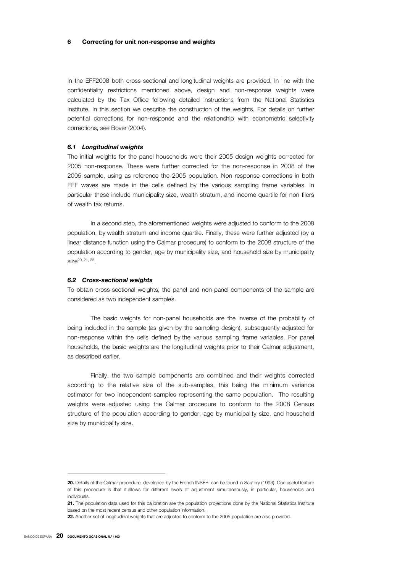#### **6 Correcting for unit non-response and weights**

In the EFF2008 both cross-sectional and longitudinal weights are provided. In line with the confidentiality restrictions mentioned above, design and non-response weights were calculated by the Tax Office following detailed instructions from the National Statistics Institute. In this section we describe the construction of the weights. For details on further potential corrections for non-response and the relationship with econometric selectivity corrections, see Bover (2004).

#### *6.1 Longitudinal weights*

The initial weights for the panel households were their 2005 design weights corrected for 2005 non-response. These were further corrected for the non-response in 2008 of the 2005 sample, using as reference the 2005 population. Non-response corrections in both EFF waves are made in the cells defined by the various sampling frame variables. In particular these include municipality size, wealth stratum, and income quartile for non-filers of wealth tax returns.

In a second step, the aforementioned weights were adjusted to conform to the 2008 population, by wealth stratum and income quartile. Finally, these were further adjusted (by a linear distance function using the Calmar procedure) to conform to the 2008 structure of the population according to gender, age by municipality size, and household size by municipality size20, 21, 22.

#### *6.2 Cross-sectional weights*

To obtain cross-sectional weights, the panel and non-panel components of the sample are considered as two independent samples.

The basic weights for non-panel households are the inverse of the probability of being included in the sample (as given by the sampling design), subsequently adjusted for non-response within the cells defined by the various sampling frame variables. For panel households, the basic weights are the longitudinal weights prior to their Calmar adjustment, as described earlier.

Finally, the two sample components are combined and their weights corrected according to the relative size of the sub-samples, this being the minimum variance estimator for two independent samples representing the same population. The resulting weights were adjusted using the Calmar procedure to conform to the 2008 Census structure of the population according to gender, age by municipality size, and household size by municipality size.

j

**<sup>20</sup>.** Details of the Calmar procedure, developed by the French INSEE, can be found in Sautory (1993). One useful feature of this procedure is that it allows for different levels of adjustment simultaneously, in particular, households and individuals.

**<sup>21</sup>.** The population data used for this calibration are the population projections done by the National Statistics Institute based on the most recent census and other population information.

**<sup>22</sup>.** Another set of longitudinal weights that are adjusted to conform to the 2005 population are also provided.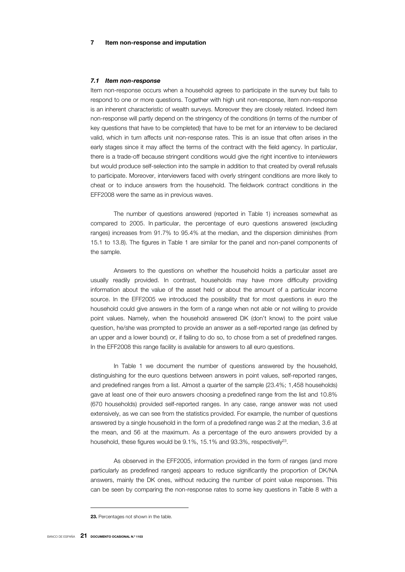#### *7.1 Item non-response*

Item non-response occurs when a household agrees to participate in the survey but fails to respond to one or more questions. Together with high unit non-response, item non-response is an inherent characteristic of wealth surveys. Moreover they are closely related. Indeed item non-response will partly depend on the stringency of the conditions (in terms of the number of key questions that have to be completed) that have to be met for an interview to be declared valid, which in turn affects unit non-response rates. This is an issue that often arises in the early stages since it may affect the terms of the contract with the field agency. In particular, there is a trade-off because stringent conditions would give the right incentive to interviewers but would produce self-selection into the sample in addition to that created by overall refusals to participate. Moreover, interviewers faced with overly stringent conditions are more likely to cheat or to induce answers from the household. The fieldwork contract conditions in the EFF2008 were the same as in previous waves.

The number of questions answered (reported in Table 1) increases somewhat as compared to 2005. In particular, the percentage of euro questions answered (excluding ranges) increases from 91.7% to 95.4% at the median, and the dispersion diminishes (from 15.1 to 13.8). The figures in Table 1 are similar for the panel and non-panel components of the sample.

Answers to the questions on whether the household holds a particular asset are usually readily provided. In contrast, households may have more difficulty providing information about the value of the asset held or about the amount of a particular income source. In the EFF2005 we introduced the possibility that for most questions in euro the household could give answers in the form of a range when not able or not willing to provide point values. Namely, when the household answered DK (don't know) to the point value question, he/she was prompted to provide an answer as a self-reported range (as defined by an upper and a lower bound) or, if failing to do so, to chose from a set of predefined ranges. In the EFF2008 this range facility is available for answers to all euro questions.

In Table 1 we document the number of questions answered by the household, distinguishing for the euro questions between answers in point values, self-reported ranges, and predefined ranges from a list. Almost a quarter of the sample (23.4%; 1,458 households) gave at least one of their euro answers choosing a predefined range from the list and 10.8% (670 households) provided self-reported ranges. In any case, range answer was not used extensively, as we can see from the statistics provided. For example, the number of questions answered by a single household in the form of a predefined range was 2 at the median, 3.6 at the mean, and 56 at the maximum. As a percentage of the euro answers provided by a household, these figures would be 9.1%, 15.1% and 93.3%, respectively<sup>23</sup>.

As observed in the EFF2005, information provided in the form of ranges (and more particularly as predefined ranges) appears to reduce significantly the proportion of DK/NA answers, mainly the DK ones, without reducing the number of point value responses. This can be seen by comparing the non-response rates to some key questions in Table 8 with a

**<sup>23</sup>.** Percentages not shown in the table.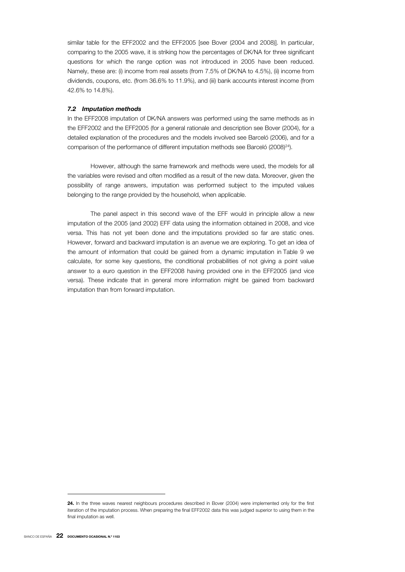similar table for the EFF2002 and the EFF2005 [see Bover (2004 and 2008)]. In particular, comparing to the 2005 wave, it is striking how the percentages of DK/NA for three significant questions for which the range option was not introduced in 2005 have been reduced. Namely, these are: (i) income from real assets (from 7.5% of DK/NA to 4.5%), (ii) income from dividends, coupons, etc. (from 36.6% to 11.9%), and (iii) bank accounts interest income (from 42.6% to 14.8%).

#### *7.2 Imputation methods*

In the EFF2008 imputation of DK/NA answers was performed using the same methods as in the EFF2002 and the EFF2005 (for a general rationale and description see Bover (2004), for a detailed explanation of the procedures and the models involved see Barceló (2006), and for a comparison of the performance of different imputation methods see Barceló (2008)<sup>24</sup>).

However, although the same framework and methods were used, the models for all the variables were revised and often modified as a result of the new data. Moreover, given the possibility of range answers, imputation was performed subject to the imputed values belonging to the range provided by the household, when applicable.

The panel aspect in this second wave of the EFF would in principle allow a new imputation of the 2005 (and 2002) EFF data using the information obtained in 2008, and vice versa. This has not yet been done and the imputations provided so far are static ones. However, forward and backward imputation is an avenue we are exploring. To get an idea of the amount of information that could be gained from a dynamic imputation in Table 9 we calculate, for some key questions, the conditional probabilities of not giving a point value answer to a euro question in the EFF2008 having provided one in the EFF2005 (and vice versa). These indicate that in general more information might be gained from backward imputation than from forward imputation.

 $\overline{a}$ 

**<sup>24</sup>.** In the three waves nearest neighbours procedures described in Bover (2004) were implemented only for the first iteration of the imputation process. When preparing the final EFF2002 data this was judged superior to using them in the final imputation as well.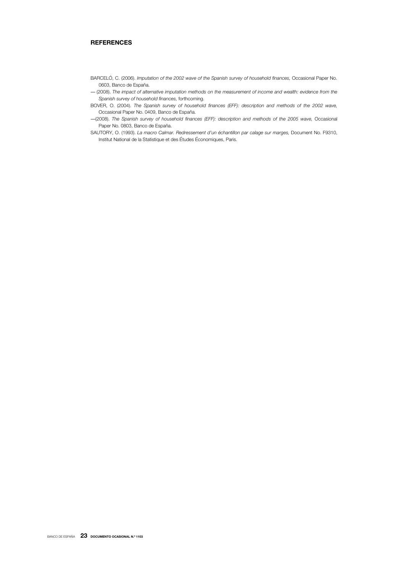### **REFERENCES**

- BARCELÓ, C. (2006). *Imputation of the 2002 wave of the Spanish survey of household finances,* Occasional Paper No. 0603, Banco de España.
- ― (2008). *The impact of alternative imputation methods on the measurement of income and wealth: evidence from the Spanish survey of household finances,* forthcoming.
- BOVER, O. (2004). *The Spanish survey of household finances (EFF): description and methods of the 2002 wave,* Occasional Paper No. 0409, Banco de España.
- ―(2008). *The Spanish survey of household finances (EFF): description and methods of the 2005 wave,* Occasional Paper No. 0803, Banco de España.
- SAUTORY, O. (1993). *La macro Calmar. Redressement d'un échantillon par calage sur marges,* Document No. F9310, Institut National de la Statistique et des Études Économiques, Paris.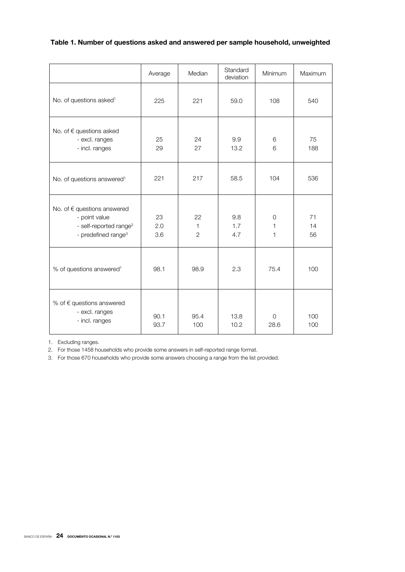### **Table 1. Number of questions asked and answered per sample household, unweighted**

|                                                                                                                       | Average          | Median                               | Standard<br>deviation | Minimum             | Maximum        |
|-----------------------------------------------------------------------------------------------------------------------|------------------|--------------------------------------|-----------------------|---------------------|----------------|
| No. of questions asked <sup>1</sup>                                                                                   | 225              | 221                                  | 59.0                  | 108                 | 540            |
| No. of € questions asked<br>- excl. ranges<br>- incl. ranges                                                          | 25<br>29         | 24<br>27                             | 9.9<br>13.2           | 6<br>6              | 75<br>188      |
| No. of questions answered <sup>1</sup>                                                                                | 221              | 217                                  | 58.5                  | 104                 | 536            |
| No. of € questions answered<br>- point value<br>- self-reported range <sup>2</sup><br>- predefined range <sup>3</sup> | 23<br>2.0<br>3.6 | 22<br>$\mathbf{1}$<br>$\overline{2}$ | 9.8<br>1.7<br>4.7     | $\circ$<br>1<br>1   | 71<br>14<br>56 |
| % of questions answered <sup>1</sup>                                                                                  | 98.1             | 98.9                                 | 2.3                   | 75.4                | 100            |
| % of $\epsilon$ questions answered<br>- excl. ranges<br>- incl. ranges                                                | 90.1<br>93.7     | 95.4<br>100                          | 13.8<br>10.2          | $\mathbf 0$<br>28.6 | 100<br>100     |

1. Excluding ranges.

2. For those 1458 households who provide some answers in self-reported range format.

3. For those 670 households who provide some answers choosing a range from the list provided.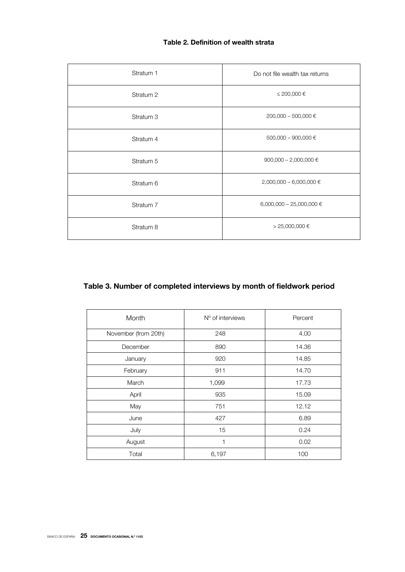## **Table 2. Definition of wealth strata**

| Stratum 1            | Do not file wealth tax returns |  |  |
|----------------------|--------------------------------|--|--|
| Stratum <sub>2</sub> | ≤ 200,000 €                    |  |  |
| Stratum 3            | 200,000 - 500,000 €            |  |  |
| Stratum 4            | 500,000 - 900,000 €            |  |  |
| Stratum 5            | 900,000 - 2,000,000 $\in$      |  |  |
| Stratum 6            | 2,000,000 - 6,000,000 €        |  |  |
| Stratum 7            | 6,000,000 - 25,000,000 €       |  |  |
| Stratum 8            | $> 25,000,000$ €               |  |  |

# **Table 3. Number of completed interviews by month of fieldwork period**

| Month                | N° of interviews | Percent |
|----------------------|------------------|---------|
| November (from 20th) | 248              | 4.00    |
| December             | 890              | 14.36   |
| January              | 920              | 14.85   |
| February             | 911              | 14.70   |
| March                | 1,099            | 17.73   |
| April                | 935              | 15.09   |
| May                  | 751              | 12.12   |
| June                 | 427              | 6.89    |
| July                 | 15               | 0.24    |
| August               | $\mathbf{1}$     | 0.02    |
| Total                | 6,197            | 100     |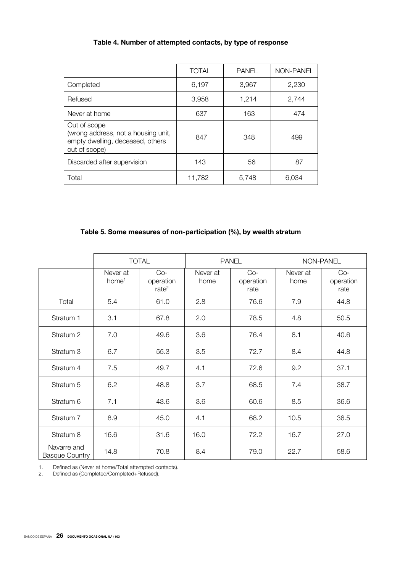|                                                                                                          | <b>TOTAL</b> | <b>PANEL</b> | NON-PANEL |
|----------------------------------------------------------------------------------------------------------|--------------|--------------|-----------|
| Completed                                                                                                | 6,197        | 3,967        | 2,230     |
| Refused                                                                                                  | 3,958        | 1,214        | 2,744     |
| Never at home                                                                                            | 637          | 163          | 474       |
| Out of scope<br>(wrong address, not a housing unit,<br>empty dwelling, deceased, others<br>out of scope) | 847          | 348          | 499       |
| Discarded after supervision                                                                              | 143          | 56           | 87        |
| Total                                                                                                    | 11,782       | 5,748        | 6,034     |

# **Table 5. Some measures of non-participation (%), by wealth stratum**

|                                      |                               | <b>TOTAL</b><br><b>PANEL</b><br>NON-PANEL |                  |                            |                  |                            |
|--------------------------------------|-------------------------------|-------------------------------------------|------------------|----------------------------|------------------|----------------------------|
|                                      | Never at<br>home <sup>1</sup> | $Co-$<br>operation<br>rate <sup>2</sup>   | Never at<br>home | $Co-$<br>operation<br>rate | Never at<br>home | $Co-$<br>operation<br>rate |
| Total                                | 5.4                           | 61.0                                      | 2.8              | 76.6                       | 7.9              | 44.8                       |
| Stratum 1                            | 3.1                           | 67.8                                      | 2.0              | 78.5                       | 4.8              | 50.5                       |
| Stratum <sub>2</sub>                 | 7.0                           | 49.6                                      | 3.6              | 76.4                       | 8.1              | 40.6                       |
| Stratum 3                            | 6.7                           | 55.3                                      | 3.5              | 72.7                       | 8.4              | 44.8                       |
| Stratum 4                            | 7.5                           | 49.7                                      | 4.1              | 72.6                       | 9.2              | 37.1                       |
| Stratum 5                            | 6.2                           | 48.8                                      | 3.7              | 68.5                       | 7.4              | 38.7                       |
| Stratum 6                            | 7.1                           | 43.6                                      | 3.6              | 60.6                       | 8.5              | 36.6                       |
| Stratum 7                            | 8.9                           | 45.0                                      | 4.1              | 68.2                       | 10.5             | 36.5                       |
| Stratum 8                            | 16.6                          | 31.6                                      | 16.0             | 72.2                       | 16.7             | 27.0                       |
| Navarre and<br><b>Basque Country</b> | 14.8                          | 70.8                                      | 8.4              | 79.0                       | 22.7             | 58.6                       |

1. Defined as (Never at home/Total attempted contacts).

2. Defined as (Completed/Completed+Refused).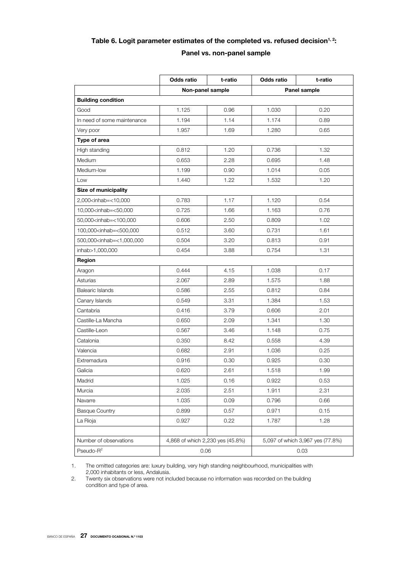# Table 6. Logit parameter estimates of the completed vs. refused decision<sup>1, 2</sup>:

### **Panel vs. non-panel sample**

|                                                                                                             | Odds ratio | t-ratio                          | Odds ratio   | t-ratio                          |  |  |
|-------------------------------------------------------------------------------------------------------------|------------|----------------------------------|--------------|----------------------------------|--|--|
|                                                                                                             |            | Non-panel sample                 | Panel sample |                                  |  |  |
| <b>Building condition</b>                                                                                   |            |                                  |              |                                  |  |  |
| Good                                                                                                        | 1.125      | 0.96                             | 1.030        | 0.20                             |  |  |
| In need of some maintenance                                                                                 | 1.194      | 1.14                             | 1.174        | 0.89                             |  |  |
| Very poor                                                                                                   | 1.957      | 1.69                             | 1.280        | 0.65                             |  |  |
| Type of area                                                                                                |            |                                  |              |                                  |  |  |
| High standing                                                                                               | 0.812      | 1.20                             | 0.736        | 1.32                             |  |  |
| Medium                                                                                                      | 0.653      | 2.28                             | 0.695        | 1.48                             |  |  |
| Medium-low                                                                                                  | 1.199      | 0.90                             | 1.014        | 0.05                             |  |  |
| Low                                                                                                         | 1.440      | 1.22                             | 1.532        | 1.20                             |  |  |
| <b>Size of municipality</b>                                                                                 |            |                                  |              |                                  |  |  |
| 2,000 <inhab=<10,000< td=""><td>0.783</td><td>1.17</td><td>1.120</td><td>0.54</td></inhab=<10,000<>         | 0.783      | 1.17                             | 1.120        | 0.54                             |  |  |
| 10,000 <inhab=<50,000< td=""><td>0.725</td><td>1.66</td><td>1.163</td><td>0.76</td></inhab=<50,000<>        | 0.725      | 1.66                             | 1.163        | 0.76                             |  |  |
| 50,000 <inhab=<100,000< td=""><td>0.606</td><td>2.50</td><td>0.809</td><td>1.02</td></inhab=<100,000<>      | 0.606      | 2.50                             | 0.809        | 1.02                             |  |  |
| 100,000 <inhab=<500,000< td=""><td>0.512</td><td>3.60</td><td>0.731</td><td>1.61</td></inhab=<500,000<>     | 0.512      | 3.60                             | 0.731        | 1.61                             |  |  |
| 500,000 <inhab=<1,000,000< td=""><td>0.504</td><td>3.20</td><td>0.813</td><td>0.91</td></inhab=<1,000,000<> | 0.504      | 3.20                             | 0.813        | 0.91                             |  |  |
| inhab>1,000,000                                                                                             | 0.454      | 3.88                             | 0.754        | 1.31                             |  |  |
| Region                                                                                                      |            |                                  |              |                                  |  |  |
| Aragon                                                                                                      | 0.444      | 4.15                             | 1.038        | 0.17                             |  |  |
| Asturias                                                                                                    | 2.067      | 2.89                             | 1.575        | 1.88                             |  |  |
| <b>Balearic Islands</b>                                                                                     | 0.586      | 2.55                             | 0.812        | 0.84                             |  |  |
| Canary Islands                                                                                              | 0.549      | 3.31                             | 1.384        | 1.53                             |  |  |
| Cantabria                                                                                                   | 0.416      | 3.79                             | 0.606        | 2.01                             |  |  |
| Castille-La Mancha                                                                                          | 0.650      | 2.09                             | 1.341        | 1.30                             |  |  |
| Castille-Leon                                                                                               | 0.567      | 3.46                             | 1.148        | 0.75                             |  |  |
| Catalonia                                                                                                   | 0.350      | 8.42                             | 0.558        | 4.39                             |  |  |
| Valencia                                                                                                    | 0.682      | 2.91                             | 1.036        | 0.25                             |  |  |
| Extremadura                                                                                                 | 0.916      | 0.30                             | 0.925        | 0.30                             |  |  |
| Galicia                                                                                                     | 0.620      | 2.61                             | 1.518        | 1.99                             |  |  |
| Madrid                                                                                                      | 1.025      | 0.16                             | 0.922        | 0.53                             |  |  |
| Murcia                                                                                                      | 2.035      | 2.51                             | 1.911        | 2.31                             |  |  |
| Navarre                                                                                                     | 1.035      | 0.09                             | 0.796        | 0.66                             |  |  |
| <b>Basque Country</b>                                                                                       | 0.899      | 0.57                             | 0.971        | 0.15                             |  |  |
| La Rioja                                                                                                    | 0.927      | 0.22                             | 1.787        | 1.28                             |  |  |
|                                                                                                             |            |                                  |              |                                  |  |  |
| Number of observations                                                                                      |            | 4,868 of which 2,230 yes (45.8%) |              | 5,097 of which 3,967 yes (77.8%) |  |  |
| Pseudo-R <sup>2</sup>                                                                                       |            | 0.06                             |              | 0.03                             |  |  |

1. The omitted categories are: luxury building, very high standing neighbourhood, municipalities with 2,000 inhabitants or less, Andalusia.

2. Twenty six observations were not included because no information was recorded on the building condition and type of area.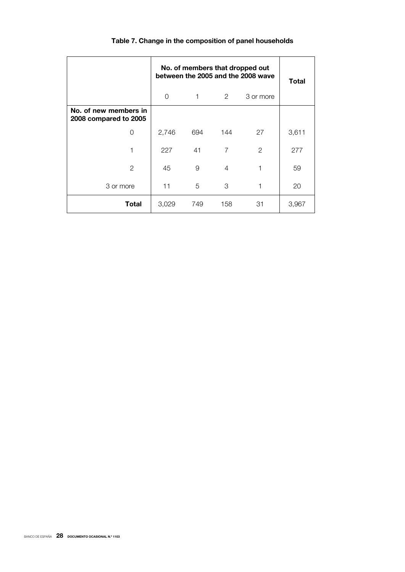|                                                | No. of members that dropped out<br>between the 2005 and the 2008 wave | Total |     |              |       |
|------------------------------------------------|-----------------------------------------------------------------------|-------|-----|--------------|-------|
|                                                | 0                                                                     |       |     |              |       |
| No. of new members in<br>2008 compared to 2005 |                                                                       |       |     |              |       |
| 0                                              | 2,746                                                                 | 694   | 144 | 27           | 3,611 |
| 1                                              | 227                                                                   | 41    | 7   | $\mathbf{2}$ | 277   |
| 2                                              | 45                                                                    | 9     | 4   | 1            | 59    |
| 3 or more                                      | 11                                                                    | 5     | 3   | 1            | 20    |
| <b>Total</b>                                   | 3,029                                                                 | 749   | 158 | 31           | 3,967 |

# **Table 7. Change in the composition of panel households**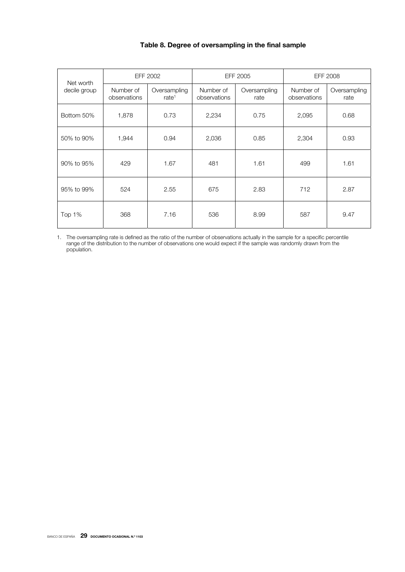### **Table 8. Degree of oversampling in the final sample**

| Net worth    |                           | EFF 2002                 |                           | EFF 2005             |                           | EFF 2008             |
|--------------|---------------------------|--------------------------|---------------------------|----------------------|---------------------------|----------------------|
| decile group | Number of<br>observations | Oversampling<br>rate $1$ | Number of<br>observations | Oversampling<br>rate | Number of<br>observations | Oversampling<br>rate |
| Bottom 50%   | 1,878                     | 0.73                     | 2,234                     | 0.75                 | 2,095                     | 0.68                 |
| 50% to 90%   | 1,944                     | 0.94                     | 2,036                     | 0.85                 | 2,304                     | 0.93                 |
| 90% to 95%   | 429                       | 1.67                     | 481                       | 1.61                 | 499                       | 1.61                 |
| 95% to 99%   | 524                       | 2.55                     | 675                       | 2.83                 | 712                       | 2.87                 |
| Top 1%       | 368                       | 7.16                     | 536                       | 8.99                 | 587                       | 9.47                 |

1. The oversampling rate is defined as the ratio of the number of observations actually in the sample for a specific percentile range of the distribution to the number of observations one would expect if the sample was randomly drawn from the population.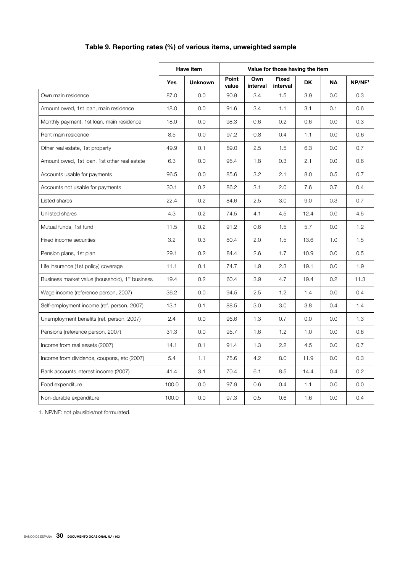# **Table 9. Reporting rates (%) of various items, unweighted sample**

|                                                             |            | Have item      |                |                 | Value for those having the item |           |           |                    |
|-------------------------------------------------------------|------------|----------------|----------------|-----------------|---------------------------------|-----------|-----------|--------------------|
|                                                             | <b>Yes</b> | <b>Unknown</b> | Point<br>value | Own<br>interval | <b>Fixed</b><br>interval        | <b>DK</b> | <b>NA</b> | NP/NF <sup>1</sup> |
| Own main residence                                          | 87.0       | 0.0            | 90.9           | 3.4             | 1.5                             | 3.9       | 0.0       | 0.3                |
| Amount owed, 1st loan, main residence                       | 18.0       | 0.0            | 91.6           | 3.4             | 1.1                             | 3.1       | 0.1       | 0.6                |
| Monthly payment, 1st loan, main residence                   | 18.0       | 0.0            | 98.3           | 0.6             | 0.2                             | 0.6       | 0.0       | 0.3                |
| Rent main residence                                         | 8.5        | 0.0            | 97.2           | 0.8             | 0.4                             | 1.1       | 0.0       | 0.6                |
| Other real estate, 1st property                             | 49.9       | 0.1            | 89.0           | 2.5             | 1.5                             | 6.3       | 0.0       | 0.7                |
| Amount owed, 1st loan, 1st other real estate                | 6.3        | 0.0            | 95.4           | 1.8             | 0.3                             | 2.1       | 0.0       | 0.6                |
| Accounts usable for payments                                | 96.5       | 0.0            | 85.6           | 3.2             | 2.1                             | 8.0       | 0.5       | 0.7                |
| Accounts not usable for payments                            | 30.1       | 0.2            | 86.2           | 3.1             | 2.0                             | 7.6       | 0.7       | 0.4                |
| Listed shares                                               | 22.4       | 0.2            | 84.6           | 2.5             | 3.0                             | 9.0       | 0.3       | 0.7                |
| Unlisted shares                                             | 4.3        | 0.2            | 74.5           | 4.1             | 4.5                             | 12.4      | 0.0       | 4.5                |
| Mutual funds, 1st fund                                      | 11.5       | 0.2            | 91.2           | 0.6             | 1.5                             | 5.7       | 0.0       | 1.2                |
| Fixed income securities                                     | 3.2        | 0.3            | 80.4           | 2.0             | 1.5                             | 13.6      | 1.0       | 1.5                |
| Pension plans, 1st plan                                     | 29.1       | 0.2            | 84.4           | 2.6             | 1.7                             | 10.9      | 0.0       | 0.5                |
| Life insurance (1st policy) coverage                        | 11.1       | 0.1            | 74.7           | 1.9             | 2.3                             | 19.1      | 0.0       | 1.9                |
| Business market value (household), 1 <sup>st</sup> business | 19.4       | 0.2            | 60.4           | 3.9             | 4.7                             | 19.4      | 0.2       | 11.3               |
| Wage income (reference person, 2007)                        | 36.2       | 0.0            | 94.5           | 2.5             | 1.2                             | 1.4       | 0.0       | 0.4                |
| Self-employment income (ref. person, 2007)                  | 13.1       | 0.1            | 88.5           | 3.0             | 3.0                             | 3.8       | 0.4       | 1.4                |
| Unemployment benefits (ref. person, 2007)                   | 2.4        | 0.0            | 96.6           | 1.3             | 0.7                             | 0.0       | 0.0       | 1.3                |
| Pensions (reference person, 2007)                           | 31.3       | 0.0            | 95.7           | 1.6             | 1.2                             | 1.0       | 0.0       | 0.6                |
| Income from real assets (2007)                              | 14.1       | 0.1            | 91.4           | 1.3             | 2.2                             | 4.5       | 0.0       | 0.7                |
| Income from dividends, coupons, etc (2007)                  | 5.4        | 1.1            | 75.6           | 4.2             | 8.0                             | 11.9      | 0.0       | 0.3                |
| Bank accounts interest income (2007)                        | 41.4       | 3.1            | 70.4           | 6.1             | 8.5                             | 14.4      | 0.4       | 0.2                |
| Food expenditure                                            | 100.0      | 0.0            | 97.9           | 0.6             | 0.4                             | 1.1       | 0.0       | 0.0                |
| Non-durable expenditure                                     | 100.0      | 0.0            | 97.3           | 0.5             | 0.6                             | 1.6       | 0.0       | 0.4                |

1. NP/NF: not plausible/not formulated.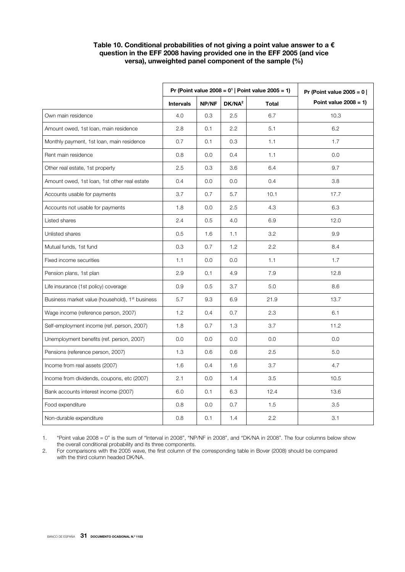### **Table 10. Conditional probabilities of not giving a point value answer to a € question in the EFF 2008 having provided one in the EFF 2005 (and vice versa), unweighted panel component of the sample (%)**

|                                                             | Pr (Point value $2008 = 01$   Point value $2005 = 1$ ) |       | Pr (Point value $2005 = 0$ |              |                          |
|-------------------------------------------------------------|--------------------------------------------------------|-------|----------------------------|--------------|--------------------------|
|                                                             | <b>Intervals</b>                                       | NP/NF | DK/NA <sup>2</sup>         | <b>Total</b> | Point value $2008 = 1$ ) |
| Own main residence                                          | 4.0                                                    | 0.3   | 2.5                        | 6.7          | 10.3                     |
| Amount owed, 1st loan, main residence                       | 2.8                                                    | 0.1   | 2.2                        | 5.1          | 6.2                      |
| Monthly payment, 1st loan, main residence                   | 0.7                                                    | 0.1   | 0.3                        | 1.1          | 1.7                      |
| Rent main residence                                         | 0.8                                                    | 0.0   | 0.4                        | 1.1          | 0.0                      |
| Other real estate, 1st property                             | 2.5                                                    | 0.3   | 3.6                        | 6.4          | 9.7                      |
| Amount owed, 1st loan, 1st other real estate                | 0.4                                                    | 0.0   | 0.0                        | 0.4          | 3.8                      |
| Accounts usable for payments                                | 3.7                                                    | 0.7   | 5.7                        | 10.1         | 17.7                     |
| Accounts not usable for payments                            | 1.8                                                    | 0.0   | 2.5                        | 4.3          | 6.3                      |
| Listed shares                                               | 2.4                                                    | 0.5   | 4.0                        | 6.9          | 12.0                     |
| Unlisted shares                                             | 0.5                                                    | 1.6   | 1.1                        | 3.2          | 9.9                      |
| Mutual funds, 1st fund                                      | 0.3                                                    | 0.7   | 1.2                        | 2.2          | 8.4                      |
| Fixed income securities                                     | 1.1                                                    | 0.0   | 0.0                        | 1.1          | 1.7                      |
| Pension plans, 1st plan                                     | 2.9                                                    | 0.1   | 4.9                        | 7.9          | 12.8                     |
| Life insurance (1st policy) coverage                        | 0.9                                                    | 0.5   | 3.7                        | 5.0          | 8.6                      |
| Business market value (household), 1 <sup>st</sup> business | 5.7                                                    | 9.3   | 6.9                        | 21.9         | 13.7                     |
| Wage income (reference person, 2007)                        | 1.2                                                    | 0.4   | 0.7                        | 2.3          | 6.1                      |
| Self-employment income (ref. person, 2007)                  | 1.8                                                    | 0.7   | 1.3                        | 3.7          | 11.2                     |
| Unemployment benefits (ref. person, 2007)                   | 0.0                                                    | 0.0   | 0.0                        | 0.0          | 0.0                      |
| Pensions (reference person, 2007)                           | 1.3                                                    | 0.6   | 0.6                        | 2.5          | 5.0                      |
| Income from real assets (2007)                              | 1.6                                                    | 0.4   | 1.6                        | 3.7          | 4.7                      |
| Income from dividends, coupons, etc (2007)                  | 2.1                                                    | 0.0   | 1.4                        | 3.5          | 10.5                     |
| Bank accounts interest income (2007)                        | 6.0                                                    | 0.1   | 6.3                        | 12.4         | 13.6                     |
| Food expenditure                                            | 0.8                                                    | 0.0   | 0.7                        | 1.5          | 3.5                      |
| Non-durable expenditure                                     | 0.8                                                    | 0.1   | 1.4                        | 2.2          | 3.1                      |

1. "Point value 2008 = 0" is the sum of "Interval in 2008", "NP/NF in 2008", and "DK/NA in 2008". The four columns below show the overall conditional probability and its three components.

2. For comparisons with the 2005 wave, the first column of the corresponding table in Bover (2008) should be compared with the third column headed DK/NA.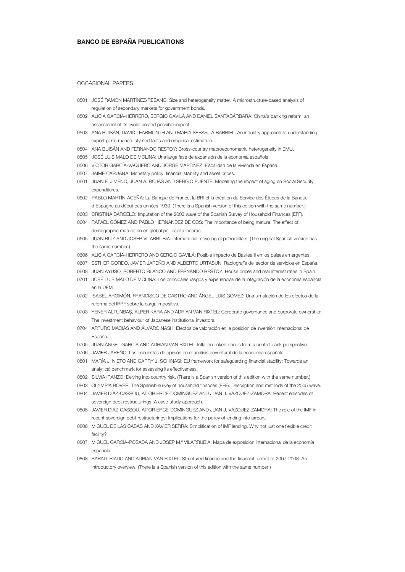#### **BANCO DE ESPAÑA PUBLICATIONS**

OCCASIONAL PAPERS

- 0501 JOSÉ RAMÓN MARTÍNEZ-RESANO: Size and heterogeneity matter. A microstructure-based analysis of regulation of secondary markets for government bonds.
- 0502 ALICIA GARCÍA-HERRERO, SERGIO GAVILÁ AND DANIEL SANTABÁRBARA: China's banking reform: an assessment of its evolution and possible impact.
- 0503 ANA BUISÁN, DAVID LEARMONTH AND MARÍA SEBASTIÁ BARRIEL: An industry approach to understanding export performance: stylised facts and empirical estimation.
- 0504 ANA BUISÁN AND FERNANDO RESTOY: Cross-country macroeconometric heterogeneity in EMU.
- 0505 JOSÉ LUIS MALO DE MOLINA: Una larga fase de expansión de la economía española.
- 0506 VÍCTOR GARCÍA-VAQUERO AND JORGE MARTÍNEZ: Fiscalidad de la vivienda en España.
- 0507 JAIME CARUANA: Monetary policy, financial stability and asset prices.
- 0601 JUAN F. JIMENO, JUAN A. ROJAS AND SERGIO PUENTE: Modelling the impact of aging on Social Security expenditures.
- 0602 PABLO MARTÍN-ACEÑA: La Banque de France, la BRI et la création du Service des Études de la Banque d'Espagne au début des années 1930. (There is a Spanish version of this edition with the same number.)
- 0603 CRISTINA BARCELÓ: Imputation of the 2002 wave of the Spanish Survey of Household Finances (EFF).
- 0604 RAFAEL GÓMEZ AND PABLO HERNÁNDEZ DE COS: The importance of being mature: The effect of demographic maturation on global per-capita income.
- 0605 JUAN RUIZ AND JOSEP VILARRUBIA: International recycling of petrodollars. (The original Spanish version has the same number.)
- 0606 ALICIA GARCÍA-HERRERO AND SERGIO GAVILÁ: Posible impacto de Basilea II en los países emergentes.
- 0607 ESTHER GORDO, JAVIER JAREÑO AND ALBERTO URTASUN: Radiografía del sector de servicios en España.
- 0608 JUAN AYUSO, ROBERTO BLANCO AND FERNANDO RESTOY: House prices and real interest rates in Spain.
- 0701 JOSÉ LUIS MALO DE MOLINA: Los principales rasgos y experiencias de la integración de la economía española en la UEM.
- 0702 ISABEL ARGIMÓN, FRANCISCO DE CASTRO AND ÁNGEL LUIS GÓMEZ: Una simulación de los efectos de la reforma del IRPF sobre la carga impositiva.
- 0703 YENER ALTUNBAŞ, ALPER KARA AND ADRIAN VAN RIXTEL: Corporate governance and corporate ownership: The investment behaviour of Japanese institutional investors.
- 0704 ARTURO MACÍAS AND ÁLVARO NASH: Efectos de valoración en la posición de inversión internacional de España.
- 0705 JUAN ÁNGEL GARCÍA AND ADRIAN VAN RIXTEL: Inflation-linked bonds from a central bank perspective.
- 0706 JAVIER JAREÑO: Las encuestas de opinión en el análisis coyuntural de la economía española.
- 0801 MARÍA J. NIETO AND GARRY J. SCHINASI: EU framework for safeguarding financial stability: Towards an analytical benchmark for assessing its effectiveness.
- 0802 SILVIA IRANZO: Delving into country risk. (There is a Spanish version of this edition with the same number.)
- 0803 OLYMPIA BOVER: The Spanish survey of household finances (EFF): Description and methods of the 2005 wave.
- 0804 JAVIER DÍAZ-CASSOU, AITOR ERCE-DOMÍNGUEZ AND JUAN J. VÁZQUEZ-ZAMORA: Recent episodes of sovereign debt restructurings. A case-study approach.
- 0805 JAVIER DÍAZ-CASSOU, AITOR ERCE-DOMÍNGUEZ AND JUAN J. VÁZQUEZ-ZAMORA: The role of the IMF in recent sovereign debt restructurings: Implications for the policy of lending into arrears.
- 0806 MIGUEL DE LAS CASAS AND XAVIER SERRA: Simplification of IMF lending. Why not just one flexible credit facility?
- 0807 MIGUEL GARCÍA-POSADA AND JOSEP M.ª VILARRUBIA: Mapa de exposición internacional de la economía española.
- 0808 SARAI CRIADO AND ADRIAN VAN RIXTEL: Structured finance and the financial turmoil of 2007-2008: An introductory overview. (There is a Spanish version of this edition with the same number.)